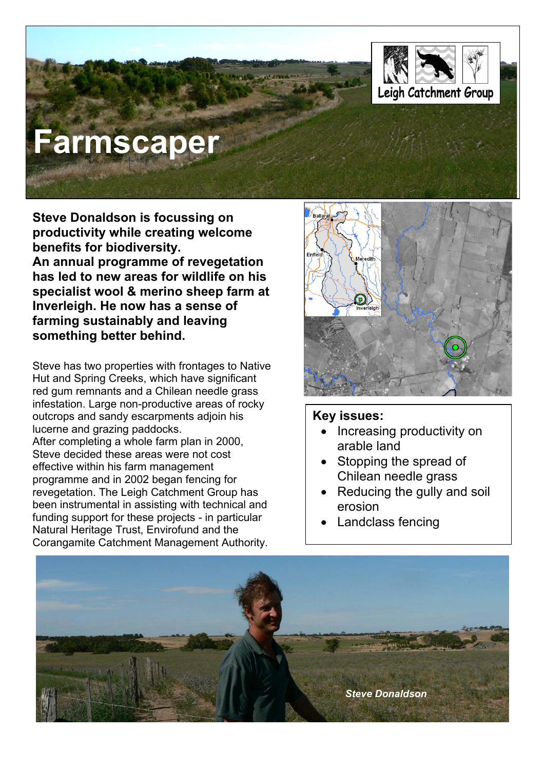

# **Farmscaper**

**Steve Donaldson is focussing on productivity while creating welcome benefits for biodiversity.** 

**An annual programme of revegetation has led to new areas for wildlife on his specialist wool & merino sheep farm at Inverleigh. He now has a sense of farming sustainably and leaving something better behind.** 

Steve has two properties with frontages to Native Hut and Spring Creeks, which have significant red gum remnants and a Chilean needle grass infestation. Large non-productive areas of rocky outcrops and sandy escarpments adjoin his lucerne and grazing paddocks. After completing a whole farm plan in 2000, Steve decided these areas were not cost effective within his farm management programme and in 2002 began fencing for revegetation. The Leigh Catchment Group has been instrumental in assisting with technical and funding support for these projects - in particular Natural Heritage Trust, Envirofund and the Corangamite Catchment Management Authority.



#### **Key issues:**

- Increasing productivity on arable land
- Stopping the spread of Chilean needle grass
- Reducing the gully and soil erosion
- **Landclass fencing**